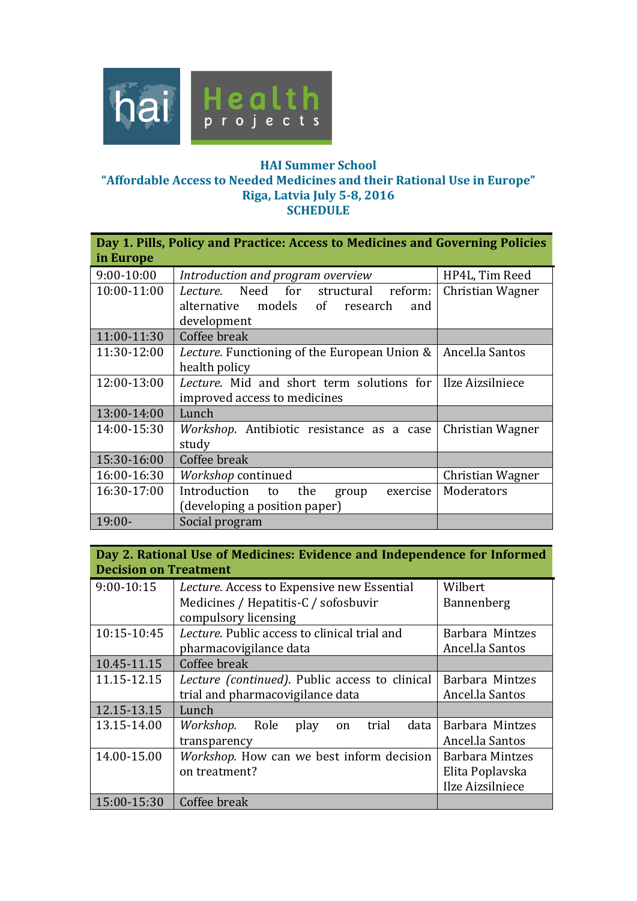

## **HAI Summer School "Affordable Access to Needed Medicines and their Rational Use in Europe"**

**Riga, Latvia July 5-8, 2016** 

**SCHEDULE** 

| Day 1. Pills, Policy and Practice: Access to Medicines and Governing Policies<br>in Europe |                                                                                                   |                  |
|--------------------------------------------------------------------------------------------|---------------------------------------------------------------------------------------------------|------------------|
| 9:00-10:00                                                                                 | Introduction and program overview                                                                 | HP4L, Tim Reed   |
| 10:00-11:00                                                                                | Need for structural reform:<br>Lecture.<br>alternative models of research<br>and                  | Christian Wagner |
|                                                                                            | development                                                                                       |                  |
| 11:00-11:30                                                                                | Coffee break                                                                                      |                  |
| 11:30-12:00                                                                                | Lecture. Functioning of the European Union &                                                      | Ancel.la Santos  |
|                                                                                            | health policy                                                                                     |                  |
| 12:00-13:00                                                                                | <i>Lecture.</i> Mid and short term solutions for Ilze Aizsilniece<br>improved access to medicines |                  |
| 13:00-14:00                                                                                | Lunch                                                                                             |                  |
| 14:00-15:30                                                                                | <i>Workshop.</i> Antibiotic resistance as a case<br>study                                         | Christian Wagner |
| 15:30-16:00                                                                                | Coffee break                                                                                      |                  |
| 16:00-16:30                                                                                | Workshop continued                                                                                | Christian Wagner |
| 16:30-17:00                                                                                | Introduction<br>the<br>exercise<br>to<br>group<br>(developing a position paper)                   | Moderators       |
| $19:00-$                                                                                   | Social program                                                                                    |                  |

| Day 2. Rational Use of Medicines: Evidence and Independence for Informed<br><b>Decision on Treatment</b> |                                                  |                        |
|----------------------------------------------------------------------------------------------------------|--------------------------------------------------|------------------------|
| 9:00-10:15                                                                                               | Lecture. Access to Expensive new Essential       | Wilbert                |
|                                                                                                          | Medicines / Hepatitis-C / sofosbuvir             | Bannenberg             |
|                                                                                                          | compulsory licensing                             |                        |
| 10:15-10:45                                                                                              | Lecture. Public access to clinical trial and     | Barbara Mintzes        |
|                                                                                                          | pharmacovigilance data                           | Ancel.la Santos        |
| 10.45-11.15                                                                                              | Coffee break                                     |                        |
| 11.15-12.15                                                                                              | Lecture (continued). Public access to clinical   | Barbara Mintzes        |
|                                                                                                          | trial and pharmacovigilance data                 | Ancel.la Santos        |
| 12.15-13.15                                                                                              | Lunch                                            |                        |
| 13.15-14.00                                                                                              | Role<br>data<br>Workshop.<br>play<br>trial<br>on | Barbara Mintzes        |
|                                                                                                          | transparency                                     | Ancel.la Santos        |
| 14.00-15.00                                                                                              | Workshop. How can we best inform decision        | <b>Barbara Mintzes</b> |
|                                                                                                          | on treatment?                                    | Elita Poplavska        |
|                                                                                                          |                                                  | Ilze Aizsilniece       |
| 15:00-15:30                                                                                              | Coffee break                                     |                        |